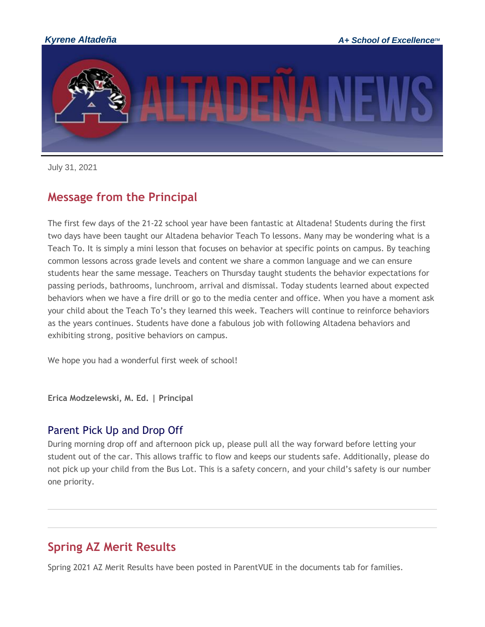

July 31, 2021

## **Message from the Principal**

The first few days of the 21-22 school year have been fantastic at Altadena! Students during the first two days have been taught our Altadena behavior Teach To lessons. Many may be wondering what is a Teach To. It is simply a mini lesson that focuses on behavior at specific points on campus. By teaching common lessons across grade levels and content we share a common language and we can ensure students hear the same message. Teachers on Thursday taught students the behavior expectations for passing periods, bathrooms, lunchroom, arrival and dismissal. Today students learned about expected behaviors when we have a fire drill or go to the media center and office. When you have a moment ask your child about the Teach To's they learned this week. Teachers will continue to reinforce behaviors as the years continues. Students have done a fabulous job with following Altadena behaviors and exhibiting strong, positive behaviors on campus.

We hope you had a wonderful first week of school!

**Erica Modzelewski, M. Ed. | Principal**

#### Parent Pick Up and Drop Off

During morning drop off and afternoon pick up, please pull all the way forward before letting your student out of the car. This allows traffic to flow and keeps our students safe. Additionally, please do not pick up your child from the Bus Lot. This is a safety concern, and your child's safety is our number one priority.

# **Spring AZ Merit Results**

Spring 2021 AZ Merit Results have been posted in ParentVUE in the documents tab for families.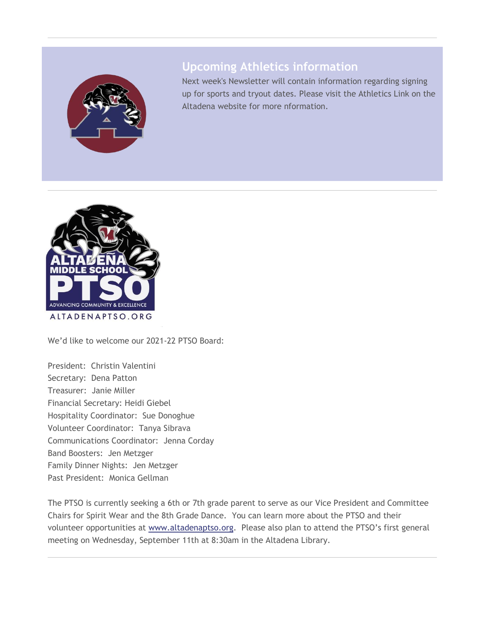

## **Upcoming Athletics information**

Next week's Newsletter will contain information regarding signing up for sports and tryout dates. Please visit the Athletics Link on the Altadena website for more nformation.



We'd like to welcome our 2021-22 PTSO Board:

President: Christin Valentini Secretary: Dena Patton Treasurer: Janie Miller Financial Secretary: Heidi Giebel Hospitality Coordinator: Sue Donoghue Volunteer Coordinator: Tanya Sibrava Communications Coordinator: Jenna Corday Band Boosters: Jen Metzger Family Dinner Nights: Jen Metzger Past President: Monica Gellman

The PTSO is currently seeking a 6th or 7th grade parent to serve as our Vice President and Committee Chairs for Spirit Wear and the 8th Grade Dance. You can learn more about the PTSO and their volunteer opportunities at [www.altadenaptso.org.](http://track.spe.schoolmessenger.com/f/a/j7L5jxEjOp8iI3jIeAIreA~~/AAAAAQA~/RgRi6DEeP0QbaHR0cDovL3d3dy5hbHRhZGVuYXB0c28ub3JnVwdzY2hvb2xtQgphAp79BmGmFN_QUhBzcmF0aEBreXJlbmUub3JnWAQAAAAB) Please also plan to attend the PTSO's first general meeting on Wednesday, September 11th at 8:30am in the Altadena Library.